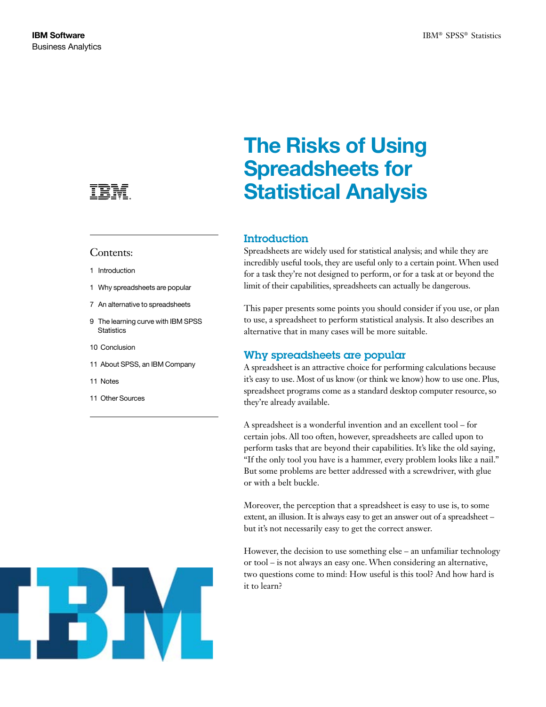

## Contents:

- 1 Introduction
- 1 Why spreadsheets are popular
- 7 An alternative to spreadsheets
- 9 The learning curve with IBM SPSS **Statistics**
- 10 Conclusion
- 11 About SPSS, an IBM Company
- 11 Notes
- 11 Other Sources



# The Risks of Using Spreadsheets for Statistical Analysis

# **Introduction**

Spreadsheets are widely used for statistical analysis; and while they are incredibly useful tools, they are useful only to a certain point. When used for a task they're not designed to perform, or for a task at or beyond the limit of their capabilities, spreadsheets can actually be dangerous.

This paper presents some points you should consider if you use, or plan to use, a spreadsheet to perform statistical analysis. It also describes an alternative that in many cases will be more suitable.

## Why spreadsheets are popular

A spreadsheet is an attractive choice for performing calculations because it's easy to use. Most of us know (or think we know) how to use one. Plus, spreadsheet programs come as a standard desktop computer resource, so they're already available.

A spreadsheet is a wonderful invention and an excellent tool – for certain jobs. All too often, however, spreadsheets are called upon to perform tasks that are beyond their capabilities. It's like the old saying, "If the only tool you have is a hammer, every problem looks like a nail." But some problems are better addressed with a screwdriver, with glue or with a belt buckle.

Moreover, the perception that a spreadsheet is easy to use is, to some extent, an illusion. It is always easy to get an answer out of a spreadsheet – but it's not necessarily easy to get the correct answer.

However, the decision to use something else – an unfamiliar technology or tool – is not always an easy one. When considering an alternative, two questions come to mind: How useful is this tool? And how hard is it to learn?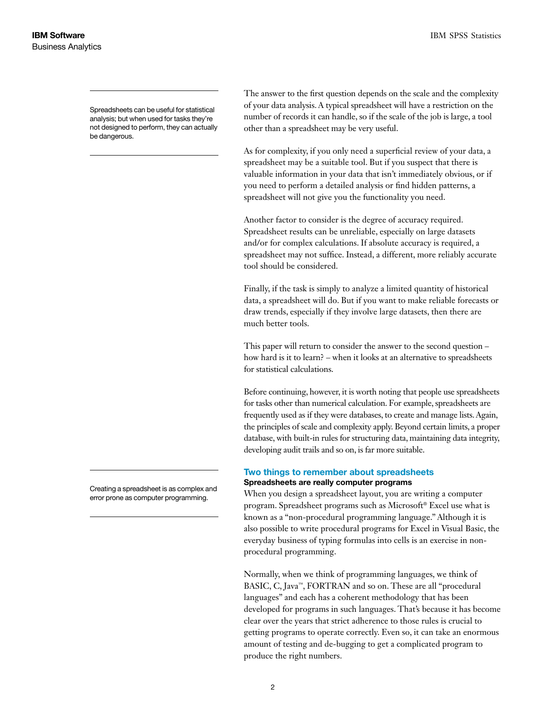Spreadsheets can be useful for statistical analysis; but when used for tasks they're not designed to perform, they can actually be dangerous.

Creating a spreadsheet is as complex and error prone as computer programming.

The answer to the first question depends on the scale and the complexity of your data analysis. A typical spreadsheet will have a restriction on the number of records it can handle, so if the scale of the job is large, a tool other than a spreadsheet may be very useful.

As for complexity, if you only need a superficial review of your data, a spreadsheet may be a suitable tool. But if you suspect that there is valuable information in your data that isn't immediately obvious, or if you need to perform a detailed analysis or find hidden patterns, a spreadsheet will not give you the functionality you need.

Another factor to consider is the degree of accuracy required. Spreadsheet results can be unreliable, especially on large datasets and/or for complex calculations. If absolute accuracy is required, a spreadsheet may not suffice. Instead, a different, more reliably accurate tool should be considered.

Finally, if the task is simply to analyze a limited quantity of historical data, a spreadsheet will do. But if you want to make reliable forecasts or draw trends, especially if they involve large datasets, then there are much better tools.

This paper will return to consider the answer to the second question – how hard is it to learn? – when it looks at an alternative to spreadsheets for statistical calculations.

Before continuing, however, it is worth noting that people use spreadsheets for tasks other than numerical calculation. For example, spreadsheets are frequently used as if they were databases, to create and manage lists. Again, the principles of scale and complexity apply. Beyond certain limits, a proper database, with built-in rules for structuring data, maintaining data integrity, developing audit trails and so on, is far more suitable.

#### Two things to remember about spreadsheets Spreadsheets are really computer programs

When you design a spreadsheet layout, you are writing a computer program. Spreadsheet programs such as Microsoft® Excel use what is known as a "non-procedural programming language." Although it is also possible to write procedural programs for Excel in Visual Basic, the everyday business of typing formulas into cells is an exercise in nonprocedural programming.

Normally, when we think of programming languages, we think of BASIC, C, Java™, FORTRAN and so on. These are all "procedural languages" and each has a coherent methodology that has been developed for programs in such languages. That's because it has become clear over the years that strict adherence to those rules is crucial to getting programs to operate correctly. Even so, it can take an enormous amount of testing and de-bugging to get a complicated program to produce the right numbers.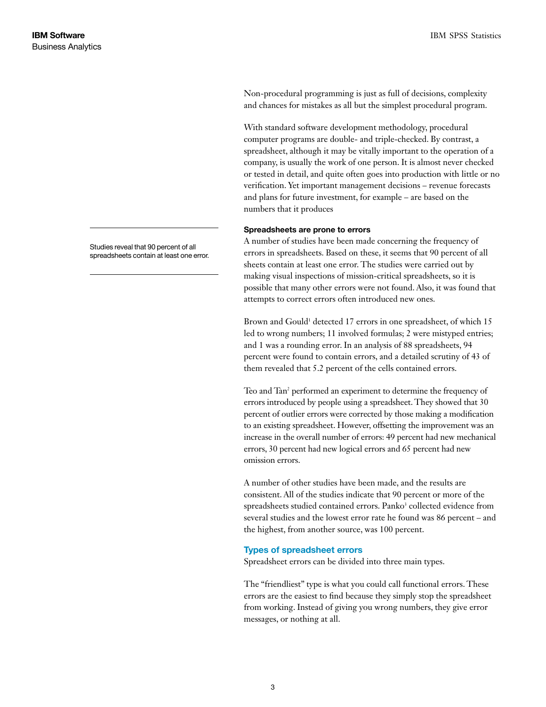Non-procedural programming is just as full of decisions, complexity and chances for mistakes as all but the simplest procedural program.

With standard software development methodology, procedural computer programs are double- and triple-checked. By contrast, a spreadsheet, although it may be vitally important to the operation of a company, is usually the work of one person. It is almost never checked or tested in detail, and quite often goes into production with little or no verification. Yet important management decisions – revenue forecasts and plans for future investment, for example – are based on the numbers that it produces

#### Spreadsheets are prone to errors

A number of studies have been made concerning the frequency of errors in spreadsheets. Based on these, it seems that 90 percent of all sheets contain at least one error. The studies were carried out by making visual inspections of mission-critical spreadsheets, so it is possible that many other errors were not found. Also, it was found that attempts to correct errors often introduced new ones.

Brown and Gould<sup>1</sup> detected 17 errors in one spreadsheet, of which 15 led to wrong numbers; 11 involved formulas; 2 were mistyped entries; and 1 was a rounding error. In an analysis of 88 spreadsheets, 94 percent were found to contain errors, and a detailed scrutiny of 43 of them revealed that 5.2 percent of the cells contained errors.

Teo and Tan<sup>2</sup> performed an experiment to determine the frequency of errors introduced by people using a spreadsheet. They showed that 30 percent of outlier errors were corrected by those making a modification to an existing spreadsheet. However, offsetting the improvement was an increase in the overall number of errors: 49 percent had new mechanical errors, 30 percent had new logical errors and 65 percent had new omission errors.

A number of other studies have been made, and the results are consistent. All of the studies indicate that 90 percent or more of the spreadsheets studied contained errors. Panko<sup>3</sup> collected evidence from several studies and the lowest error rate he found was 86 percent – and the highest, from another source, was 100 percent.

#### Types of spreadsheet errors

Spreadsheet errors can be divided into three main types.

The "friendliest" type is what you could call functional errors. These errors are the easiest to find because they simply stop the spreadsheet from working. Instead of giving you wrong numbers, they give error messages, or nothing at all.

Studies reveal that 90 percent of all spreadsheets contain at least one error.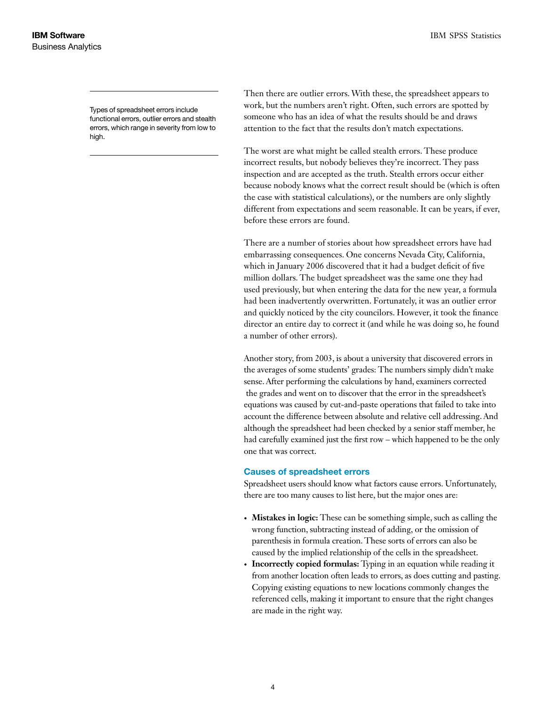Types of spreadsheet errors include functional errors, outlier errors and stealth errors, which range in severity from low to high.

Then there are outlier errors. With these, the spreadsheet appears to work, but the numbers aren't right. Often, such errors are spotted by someone who has an idea of what the results should be and draws attention to the fact that the results don't match expectations.

The worst are what might be called stealth errors. These produce incorrect results, but nobody believes they're incorrect. They pass inspection and are accepted as the truth. Stealth errors occur either because nobody knows what the correct result should be (which is often the case with statistical calculations), or the numbers are only slightly different from expectations and seem reasonable. It can be years, if ever, before these errors are found.

There are a number of stories about how spreadsheet errors have had embarrassing consequences. One concerns Nevada City, California, which in January 2006 discovered that it had a budget deficit of five million dollars. The budget spreadsheet was the same one they had used previously, but when entering the data for the new year, a formula had been inadvertently overwritten. Fortunately, it was an outlier error and quickly noticed by the city councilors. However, it took the finance director an entire day to correct it (and while he was doing so, he found a number of other errors).

Another story, from 2003, is about a university that discovered errors in the averages of some students' grades: The numbers simply didn't make sense. After performing the calculations by hand, examiners corrected the grades and went on to discover that the error in the spreadsheet's equations was caused by cut-and-paste operations that failed to take into account the difference between absolute and relative cell addressing. And although the spreadsheet had been checked by a senior staff member, he had carefully examined just the first row – which happened to be the only one that was correct.

#### Causes of spreadsheet errors

Spreadsheet users should know what factors cause errors. Unfortunately, there are too many causes to list here, but the major ones are:

- **Mistakes in logic:** These can be something simple, such as calling the wrong function, subtracting instead of adding, or the omission of parenthesis in formula creation. These sorts of errors can also be caused by the implied relationship of the cells in the spreadsheet.
- **Incorrectly copied formulas:** Typing in an equation while reading it from another location often leads to errors, as does cutting and pasting. Copying existing equations to new locations commonly changes the referenced cells, making it important to ensure that the right changes are made in the right way.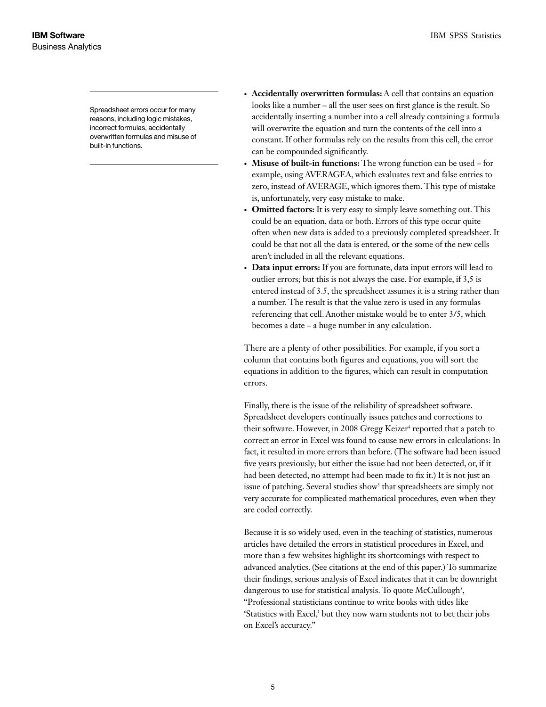Spreadsheet errors occur for many reasons, including logic mistakes, incorrect formulas, accidentally overwritten formulas and misuse of built-in functions.

- **• Accidentally overwritten formulas:** A cell that contains an equation looks like a number – all the user sees on first glance is the result. So accidentally inserting a number into a cell already containing a formula will overwrite the equation and turn the contents of the cell into a constant. If other formulas rely on the results from this cell, the error can be compounded significantly.
- **Misuse of built-in functions:** The wrong function can be used for example, using AVERAGEA, which evaluates text and false entries to zero, instead of AVERAGE, which ignores them. This type of mistake is, unfortunately, very easy mistake to make.
- **Omitted factors:** It is very easy to simply leave something out. This could be an equation, data or both. Errors of this type occur quite often when new data is added to a previously completed spreadsheet. It could be that not all the data is entered, or the some of the new cells aren't included in all the relevant equations.
- **• Data input errors:** If you are fortunate, data input errors will lead to outlier errors; but this is not always the case. For example, if 3,5 is entered instead of 3.5, the spreadsheet assumes it is a string rather than a number. The result is that the value zero is used in any formulas referencing that cell. Another mistake would be to enter 3/5, which becomes a date – a huge number in any calculation.

There are a plenty of other possibilities. For example, if you sort a column that contains both figures and equations, you will sort the equations in addition to the figures, which can result in computation errors.

Finally, there is the issue of the reliability of spreadsheet software. Spreadsheet developers continually issues patches and corrections to their software. However, in 2008 Gregg Keizer<sup>4</sup> reported that a patch to correct an error in Excel was found to cause new errors in calculations: In fact, it resulted in more errors than before. (The software had been issued five years previously; but either the issue had not been detected, or, if it had been detected, no attempt had been made to fix it.) It is not just an issue of patching. Several studies show<sup>5</sup> that spreadsheets are simply not very accurate for complicated mathematical procedures, even when they are coded correctly.

Because it is so widely used, even in the teaching of statistics, numerous articles have detailed the errors in statistical procedures in Excel, and more than a few websites highlight its shortcomings with respect to advanced analytics. (See citations at the end of this paper.) To summarize their findings, serious analysis of Excel indicates that it can be downright dangerous to use for statistical analysis. To quote McCullough<sup>5</sup>, "Professional statisticians continue to write books with titles like 'Statistics with Excel,' but they now warn students not to bet their jobs on Excel's accuracy."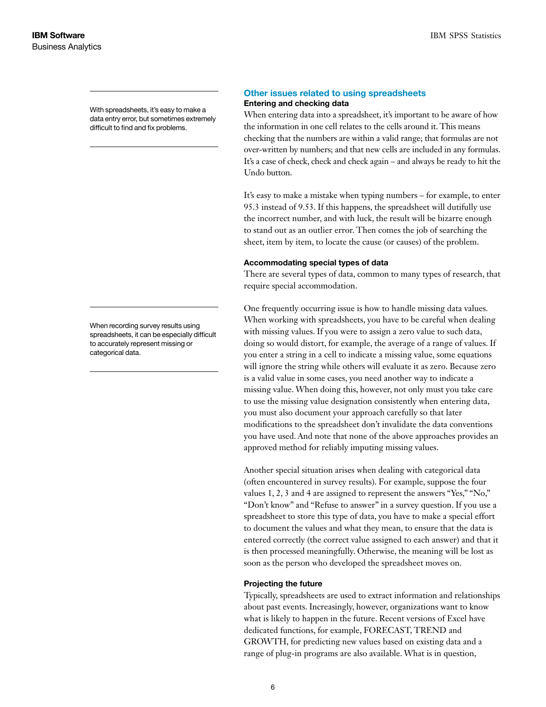With spreadsheets, it's easy to make a data entry error, but sometimes extremely difficult to find and fix problems.

When recording survey results using spreadsheets, it can be especially difficult to accurately represent missing or categorical data.

#### Other issues related to using spreadsheets Entering and checking data

When entering data into a spreadsheet, it's important to be aware of how the information in one cell relates to the cells around it. This means checking that the numbers are within a valid range; that formulas are not over-written by numbers; and that new cells are included in any formulas. It's a case of check, check and check again – and always be ready to hit the Undo button.

It's easy to make a mistake when typing numbers – for example, to enter 95.3 instead of 9.53. If this happens, the spreadsheet will dutifully use the incorrect number, and with luck, the result will be bizarre enough to stand out as an outlier error. Then comes the job of searching the sheet, item by item, to locate the cause (or causes) of the problem.

#### Accommodating special types of data

There are several types of data, common to many types of research, that require special accommodation.

One frequently occurring issue is how to handle missing data values. When working with spreadsheets, you have to be careful when dealing with missing values. If you were to assign a zero value to such data, doing so would distort, for example, the average of a range of values. If you enter a string in a cell to indicate a missing value, some equations will ignore the string while others will evaluate it as zero. Because zero is a valid value in some cases, you need another way to indicate a missing value. When doing this, however, not only must you take care to use the missing value designation consistently when entering data, you must also document your approach carefully so that later modifications to the spreadsheet don't invalidate the data conventions you have used. And note that none of the above approaches provides an approved method for reliably imputing missing values.

Another special situation arises when dealing with categorical data (often encountered in survey results). For example, suppose the four values 1, 2, 3 and 4 are assigned to represent the answers "Yes," "No," "Don't know" and "Refuse to answer" in a survey question. If you use a spreadsheet to store this type of data, you have to make a special effort to document the values and what they mean, to ensure that the data is entered correctly (the correct value assigned to each answer) and that it is then processed meaningfully. Otherwise, the meaning will be lost as soon as the person who developed the spreadsheet moves on.

#### Projecting the future

Typically, spreadsheets are used to extract information and relationships about past events. Increasingly, however, organizations want to know what is likely to happen in the future. Recent versions of Excel have dedicated functions, for example, FORECAST, TREND and GROWTH, for predicting new values based on existing data and a range of plug-in programs are also available. What is in question,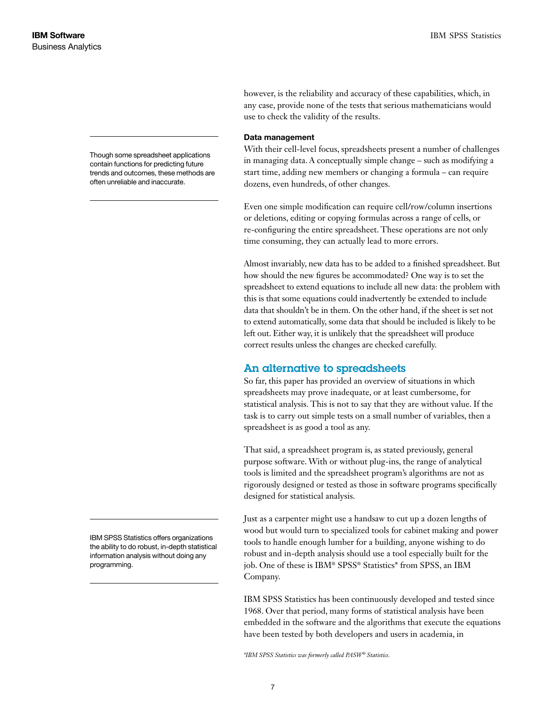however, is the reliability and accuracy of these capabilities, which, in any case, provide none of the tests that serious mathematicians would use to check the validity of the results.

#### Data management

With their cell-level focus, spreadsheets present a number of challenges in managing data. A conceptually simple change – such as modifying a start time, adding new members or changing a formula – can require dozens, even hundreds, of other changes.

Even one simple modification can require cell/row/column insertions or deletions, editing or copying formulas across a range of cells, or re-configuring the entire spreadsheet. These operations are not only time consuming, they can actually lead to more errors.

Almost invariably, new data has to be added to a finished spreadsheet. But how should the new figures be accommodated? One way is to set the spreadsheet to extend equations to include all new data: the problem with this is that some equations could inadvertently be extended to include data that shouldn't be in them. On the other hand, if the sheet is set not to extend automatically, some data that should be included is likely to be left out. Either way, it is unlikely that the spreadsheet will produce correct results unless the changes are checked carefully.

## An alternative to spreadsheets

So far, this paper has provided an overview of situations in which spreadsheets may prove inadequate, or at least cumbersome, for statistical analysis. This is not to say that they are without value. If the task is to carry out simple tests on a small number of variables, then a spreadsheet is as good a tool as any.

That said, a spreadsheet program is, as stated previously, general purpose software. With or without plug-ins, the range of analytical tools is limited and the spreadsheet program's algorithms are not as rigorously designed or tested as those in software programs specifically designed for statistical analysis.

Just as a carpenter might use a handsaw to cut up a dozen lengths of wood but would turn to specialized tools for cabinet making and power tools to handle enough lumber for a building, anyone wishing to do robust and in-depth analysis should use a tool especially built for the job. One of these is IBM® SPSS® Statistics\* from SPSS, an IBM Company.

IBM SPSS Statistics has been continuously developed and tested since 1968. Over that period, many forms of statistical analysis have been embedded in the software and the algorithms that execute the equations have been tested by both developers and users in academia, in

*\*IBM SPSS Statistics was formerly called PASW® Statistics.*

Though some spreadsheet applications contain functions for predicting future trends and outcomes, these methods are often unreliable and inaccurate.

IBM SPSS Statistics offers organizations the ability to do robust, in-depth statistical information analysis without doing any programming.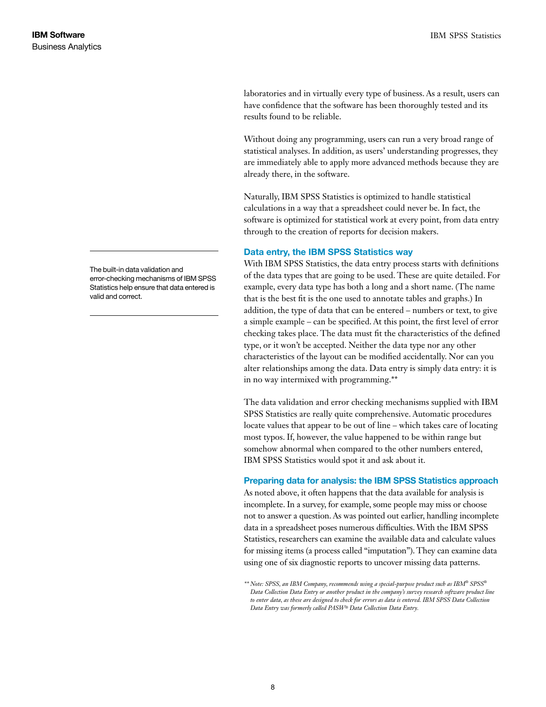laboratories and in virtually every type of business. As a result, users can have confidence that the software has been thoroughly tested and its results found to be reliable.

Without doing any programming, users can run a very broad range of statistical analyses. In addition, as users' understanding progresses, they are immediately able to apply more advanced methods because they are already there, in the software.

Naturally, IBM SPSS Statistics is optimized to handle statistical calculations in a way that a spreadsheet could never be. In fact, the software is optimized for statistical work at every point, from data entry through to the creation of reports for decision makers.

#### Data entry, the IBM SPSS Statistics way

With IBM SPSS Statistics, the data entry process starts with definitions of the data types that are going to be used. These are quite detailed. For example, every data type has both a long and a short name. (The name that is the best fit is the one used to annotate tables and graphs.) In addition, the type of data that can be entered – numbers or text, to give a simple example – can be specified. At this point, the first level of error checking takes place. The data must fit the characteristics of the defined type, or it won't be accepted. Neither the data type nor any other characteristics of the layout can be modified accidentally. Nor can you alter relationships among the data. Data entry is simply data entry: it is in no way intermixed with programming.\*\*

The data validation and error checking mechanisms supplied with IBM SPSS Statistics are really quite comprehensive. Automatic procedures locate values that appear to be out of line – which takes care of locating most typos. If, however, the value happened to be within range but somehow abnormal when compared to the other numbers entered, IBM SPSS Statistics would spot it and ask about it.

#### Preparing data for analysis: the IBM SPSS Statistics approach

As noted above, it often happens that the data available for analysis is incomplete. In a survey, for example, some people may miss or choose not to answer a question. As was pointed out earlier, handling incomplete data in a spreadsheet poses numerous difficulties. With the IBM SPSS Statistics, researchers can examine the available data and calculate values for missing items (a process called "imputation"). They can examine data using one of six diagnostic reports to uncover missing data patterns.

The built-in data validation and error-checking mechanisms of IBM SPSS Statistics help ensure that data entered is valid and correct.

*<sup>\*\*</sup> Note: SPSS, an IBM Company, recommends using a special-purpose product such as IBM® SPSS® Data Collection Data Entry or another product in the company's survey research software product line to enter data, as these are designed to check for errors as data is entered. IBM SPSS Data Collection Data Entry was formerly called PASW® Data Collection Data Entry.*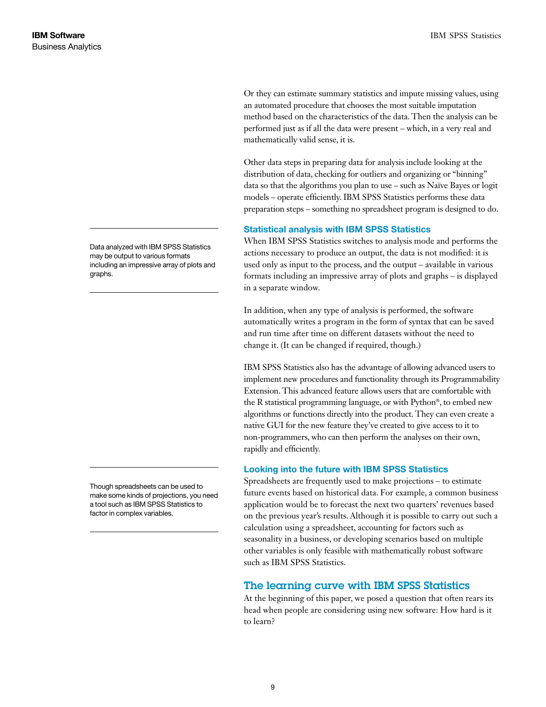Or they can estimate summary statistics and impute missing values, using an automated procedure that chooses the most suitable imputation method based on the characteristics of the data. Then the analysis can be performed just as if all the data were present – which, in a very real and mathematically valid sense, it is.

Other data steps in preparing data for analysis include looking at the distribution of data, checking for outliers and organizing or "binning" data so that the algorithms you plan to use – such as Naïve Bayes or logit models – operate efficiently. IBM SPSS Statistics performs these data preparation steps – something no spreadsheet program is designed to do.

## Statistical analysis with IBM SPSS Statistics

When IBM SPSS Statistics switches to analysis mode and performs the actions necessary to produce an output, the data is not modified: it is used only as input to the process, and the output – available in various formats including an impressive array of plots and graphs – is displayed in a separate window.

In addition, when any type of analysis is performed, the software automatically writes a program in the form of syntax that can be saved and run time after time on different datasets without the need to change it. (It can be changed if required, though.)

IBM SPSS Statistics also has the advantage of allowing advanced users to implement new procedures and functionality through its Programmability Extension. This advanced feature allows users that are comfortable with the R statistical programming language, or with Python®, to embed new algorithms or functions directly into the product. They can even create a native GUI for the new feature they've created to give access to it to non-programmers, who can then perform the analyses on their own, rapidly and efficiently.

## Looking into the future with IBM SPSS Statistics

Spreadsheets are frequently used to make projections – to estimate future events based on historical data. For example, a common business application would be to forecast the next two quarters' revenues based on the previous year's results. Although it is possible to carry out such a calculation using a spreadsheet, accounting for factors such as seasonality in a business, or developing scenarios based on multiple other variables is only feasible with mathematically robust software such as IBM SPSS Statistics.

## The learning curve with IBM SPSS Statistics

At the beginning of this paper, we posed a question that often rears its head when people are considering using new software: How hard is it to learn?

Data analyzed with IBM SPSS Statistics may be output to various formats including an impressive array of plots and graphs.

Though spreadsheets can be used to make some kinds of projections, you need a tool such as IBM SPSS Statistics to factor in complex variables.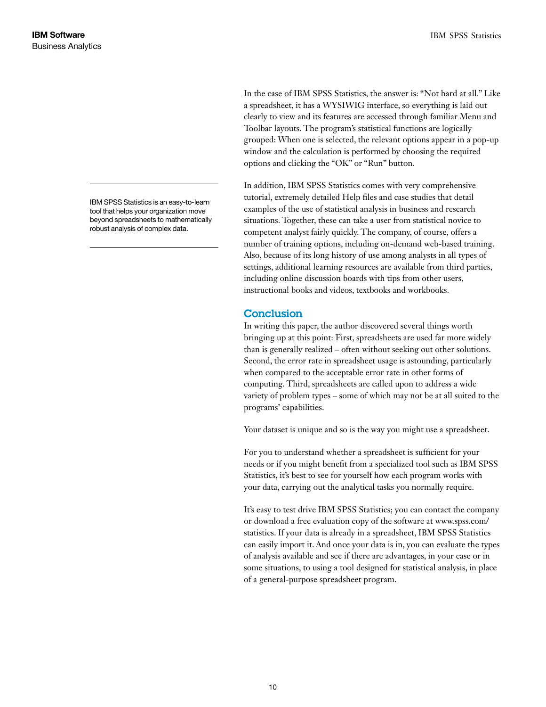In the case of IBM SPSS Statistics, the answer is: "Not hard at all." Like a spreadsheet, it has a WYSIWIG interface, so everything is laid out clearly to view and its features are accessed through familiar Menu and Toolbar layouts. The program's statistical functions are logically grouped: When one is selected, the relevant options appear in a pop-up window and the calculation is performed by choosing the required options and clicking the "OK" or "Run" button.

In addition, IBM SPSS Statistics comes with very comprehensive tutorial, extremely detailed Help files and case studies that detail examples of the use of statistical analysis in business and research situations. Together, these can take a user from statistical novice to competent analyst fairly quickly. The company, of course, offers a number of training options, including on-demand web-based training. Also, because of its long history of use among analysts in all types of settings, additional learning resources are available from third parties, including online discussion boards with tips from other users, instructional books and videos, textbooks and workbooks.

# **Conclusion**

In writing this paper, the author discovered several things worth bringing up at this point: First, spreadsheets are used far more widely than is generally realized – often without seeking out other solutions. Second, the error rate in spreadsheet usage is astounding, particularly when compared to the acceptable error rate in other forms of computing. Third, spreadsheets are called upon to address a wide variety of problem types – some of which may not be at all suited to the programs' capabilities.

Your dataset is unique and so is the way you might use a spreadsheet.

For you to understand whether a spreadsheet is sufficient for your needs or if you might benefit from a specialized tool such as IBM SPSS Statistics, it's best to see for yourself how each program works with your data, carrying out the analytical tasks you normally require.

It's easy to test drive IBM SPSS Statistics; you can contact the company or download a free evaluation copy of the software at www.spss.com/ statistics. If your data is already in a spreadsheet, IBM SPSS Statistics can easily import it. And once your data is in, you can evaluate the types of analysis available and see if there are advantages, in your case or in some situations, to using a tool designed for statistical analysis, in place of a general-purpose spreadsheet program.

IBM SPSS Statistics is an easy-to-learn tool that helps your organization move beyond spreadsheets to mathematically robust analysis of complex data.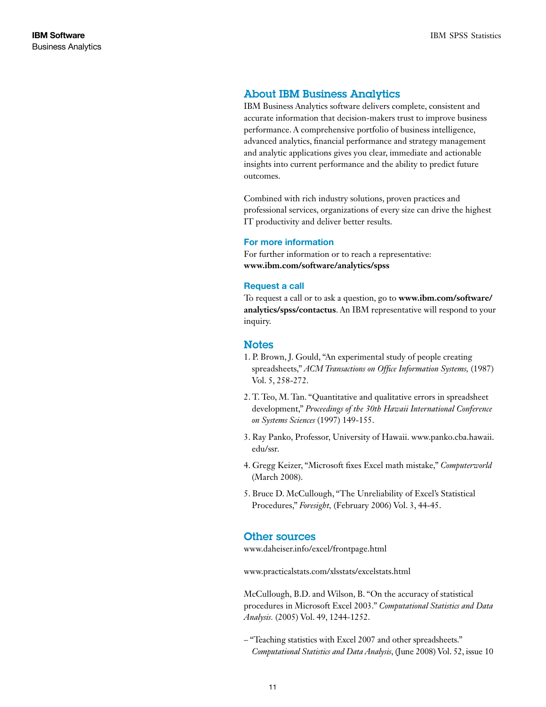## About IBM Business Analytics

IBM Business Analytics software delivers complete, consistent and accurate information that decision-makers trust to improve business performance. A comprehensive portfolio of business intelligence, advanced analytics, financial performance and strategy management and analytic applications gives you clear, immediate and actionable insights into current performance and the ability to predict future outcomes.

Combined with rich industry solutions, proven practices and professional services, organizations of every size can drive the highest IT productivity and deliver better results.

#### For more information

For further information or to reach a representative: **www.ibm.com/software/analytics/spss**

#### Request a call

To request a call or to ask a question, go to **www.ibm.com/software/ analytics/spss/contactus**. An IBM representative will respond to your inquiry.

## **Notes**

- 1. P. Brown, J. Gould, "An experimental study of people creating spreadsheets," *ACM Transactions on Office Information Systems,* (1987) Vol. 5, 258-272.
- 2. T. Teo, M. Tan. "Quantitative and qualitative errors in spreadsheet development," *Proceedings of the 30th Hawaii International Conference on Systems Sciences* (1997) 149-155.
- 3. Ray Panko, Professor, University of Hawaii. www.panko.cba.hawaii. edu/ssr.
- 4. Gregg Keizer, "Microsoft fixes Excel math mistake," *Computerworld*  (March 2008).
- 5. Bruce D. McCullough, "The Unreliability of Excel's Statistical Procedures," *Foresight,* (February 2006) Vol. 3, 44-45.

## Other sources

www.daheiser.info/excel/frontpage.html

www.practicalstats.com/xlsstats/excelstats.html

McCullough, B.D. and Wilson, B. "On the accuracy of statistical procedures in Microsoft Excel 2003." *Computational Statistics and Data Analysis.* (2005) Vol. 49, 1244-1252.

– "Teaching statistics with Excel 2007 and other spreadsheets." *Computational Statistics and Data Analysis*, (June 2008) Vol. 52, issue 10